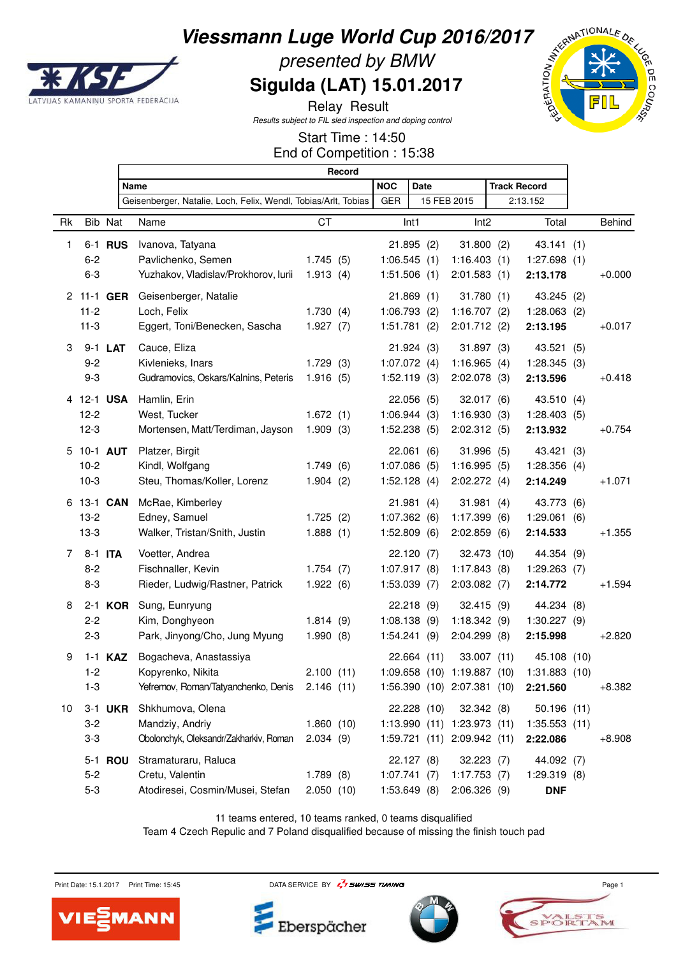

Г

# presented by BMW **Sigulda (LAT) 15.01.2017**



٦

Relay Result Results subject to FIL sled inspection and doping control

Start Time : 14:50

|  | End of Competition: 15:38 |  |  |
|--|---------------------------|--|--|
|--|---------------------------|--|--|

|    |                | Record                                                         |           |                |                  |             |                             |  |                                           |               |
|----|----------------|----------------------------------------------------------------|-----------|----------------|------------------|-------------|-----------------------------|--|-------------------------------------------|---------------|
|    |                | Name                                                           |           | <b>NOC</b>     | <b>Date</b>      |             |                             |  | <b>Track Record</b>                       |               |
|    |                | Geisenberger, Natalie, Loch, Felix, Wendl, Tobias/Arlt, Tobias |           | <b>GER</b>     |                  |             | 15 FEB 2015                 |  | 2:13.152                                  |               |
| Rk | Bib Nat        | Name                                                           | <b>CT</b> |                | Int <sub>1</sub> |             | Int <sub>2</sub>            |  | Total                                     | <b>Behind</b> |
| 1  | 6-1 <b>RUS</b> | Ivanova, Tatyana                                               |           |                | 21.895(2)        |             | 31.800(2)                   |  | 43.141 (1)                                |               |
|    | $6 - 2$        | Pavlichenko, Semen                                             | 1.745(5)  | 1:06.545(1)    |                  |             | 1:16.403(1)                 |  | 1:27.698(1)                               |               |
|    | $6 - 3$        | Yuzhakov, Vladislav/Prokhorov, lurii                           | 1.913(4)  | 1:51.506(1)    |                  |             | 2:01.583(1)                 |  | 2:13.178                                  | $+0.000$      |
|    | 2 11-1 GER     | Geisenberger, Natalie                                          |           |                | 21.869(1)        |             | 31.780(1)                   |  | 43.245 (2)                                |               |
|    | $11 - 2$       | Loch, Felix                                                    | 1.730(4)  | 1:06.793(2)    |                  |             | 1:16.707(2)                 |  | 1:28.063(2)                               |               |
|    | $11 - 3$       | Eggert, Toni/Benecken, Sascha                                  | 1.927(7)  | 1:51.781(2)    |                  |             | 2:01.712(2)                 |  | 2:13.195                                  | $+0.017$      |
| 3  | 9-1 LAT        | Cauce, Eliza                                                   |           |                | 21.924(3)        |             | 31.897(3)                   |  | 43.521 (5)                                |               |
|    | $9 - 2$        | Kivlenieks, Inars                                              | 1.729(3)  | 1:07.072(4)    |                  |             | 1:16.965(4)                 |  | 1:28.345(3)                               |               |
|    | $9 - 3$        | Gudramovics, Oskars/Kalnins, Peteris                           | 1.916(5)  | $1:52.119$ (3) |                  |             | $2:02.078$ (3)              |  | 2:13.596                                  | $+0.418$      |
|    | 4 12-1 USA     | Hamlin, Erin                                                   |           |                | 22.056(5)        |             | 32.017(6)                   |  | 43.510 (4)                                |               |
|    | $12-2$         | West, Tucker                                                   | 1.672(1)  | 1:06.944(3)    |                  |             | 1:16.930(3)                 |  | 1:28.403(5)                               |               |
|    | $12-3$         | Mortensen, Matt/Terdiman, Jayson                               | 1.909(3)  | 1:52.238(5)    |                  |             | 2:02.312(5)                 |  | 2:13.932                                  | $+0.754$      |
|    | 5 10-1 AUT     | Platzer, Birgit                                                |           |                | 22.061(6)        |             | 31.996(5)                   |  | 43.421 (3)                                |               |
|    | $10-2$         | Kindl, Wolfgang                                                | 1.749(6)  | 1:07.086(5)    |                  |             | 1:16.995(5)                 |  | 1:28.356(4)                               |               |
|    | $10-3$         | Steu, Thomas/Koller, Lorenz                                    | 1.904(2)  | 1:52.128(4)    |                  |             | 2:02.272(4)                 |  | 2:14.249                                  | $+1.071$      |
|    | 6 13-1 CAN     | McRae, Kimberley                                               |           |                | 21.981(4)        |             | 31.981(4)                   |  | 43.773 (6)                                |               |
|    | $13-2$         | Edney, Samuel                                                  | 1.725(2)  | 1:07.362(6)    |                  |             | 1:17.399(6)                 |  | 1:29.061(6)                               |               |
|    | $13-3$         | Walker, Tristan/Snith, Justin                                  | 1.888(1)  | 1:52.809(6)    |                  |             | 2:02.859(6)                 |  | 2:14.533                                  | $+1.355$      |
| 7  | 8-1 ITA        | Voetter, Andrea                                                |           |                | 22.120(7)        |             | 32.473 (10)                 |  | 44.354 (9)                                |               |
|    | $8 - 2$        | Fischnaller, Kevin                                             | 1.754(7)  | 1:07.917(8)    |                  |             | 1:17.843(8)                 |  | 1:29.263(7)                               |               |
|    | $8 - 3$        | Rieder, Ludwig/Rastner, Patrick                                | 1.922(6)  | 1:53.039(7)    |                  |             | 2:03.082(7)                 |  | 2:14.772                                  | $+1.594$      |
| 8  | 2-1 KOR        | Sung, Eunryung                                                 |           |                | 22.218(9)        |             | 32.415(9)                   |  | 44.234 (8)                                |               |
|    | $2 - 2$        | Kim, Donghyeon                                                 | 1.814(9)  | 1:08.138(9)    |                  |             | 1:18.342(9)                 |  | 1:30.227(9)                               |               |
|    | $2 - 3$        | Park, Jinyong/Cho, Jung Myung                                  | 1.990(8)  | 1:54.241(9)    |                  |             | 2:04.299(8)                 |  | 2:15.998                                  | $+2.820$      |
| 9  | $1-1$ KAZ      | Bogacheva, Anastassiya                                         |           |                |                  | 22.664 (11) | 33.007 (11)                 |  | 45.108 (10)                               |               |
|    | $1 - 2$        | Kopyrenko, Nikita                                              | 2.100(11) |                |                  |             |                             |  | 1:09.658 (10) 1:19.887 (10) 1:31.883 (10) |               |
|    | $1 - 3$        | Yefremov, Roman/Tatyanchenko, Denis 2.146 (11)                 |           |                |                  |             | 1:56.390 (10) 2:07.381 (10) |  | 2:21.560                                  | +8.382        |
| 10 | 3-1 UKR        | Shkhumova, Olena                                               |           |                |                  | 22.228 (10) | 32.342(8)                   |  | 50.196 (11)                               |               |
|    | $3 - 2$        | Mandziy, Andriy                                                | 1.860(10) |                |                  |             | 1:13.990 (11) 1:23.973 (11) |  | 1:35.553(11)                              |               |
|    | $3 - 3$        | Obolonchyk, Oleksandr/Zakharkiv, Roman                         | 2.034(9)  |                |                  |             | 1:59.721 (11) 2:09.942 (11) |  | 2:22.086                                  | $+8.908$      |
|    | 5-1 <b>ROU</b> | Stramaturaru, Raluca                                           |           |                | 22.127(8)        |             | 32.223(7)                   |  | 44.092 (7)                                |               |
|    | $5 - 2$        | Cretu, Valentin                                                | 1.789(8)  | 1:07.741(7)    |                  |             | 1:17.753(7)                 |  | 1:29.319(8)                               |               |
|    | $5-3$          | Atodiresei, Cosmin/Musei, Stefan                               | 2.050(10) | 1:53.649(8)    |                  |             | 2:06.326(9)                 |  | <b>DNF</b>                                |               |

11 teams entered, 10 teams ranked, 0 teams disqualified

Team 4 Czech Repulic and 7 Poland disqualified because of missing the finish touch pad

ANN

Eberspächer